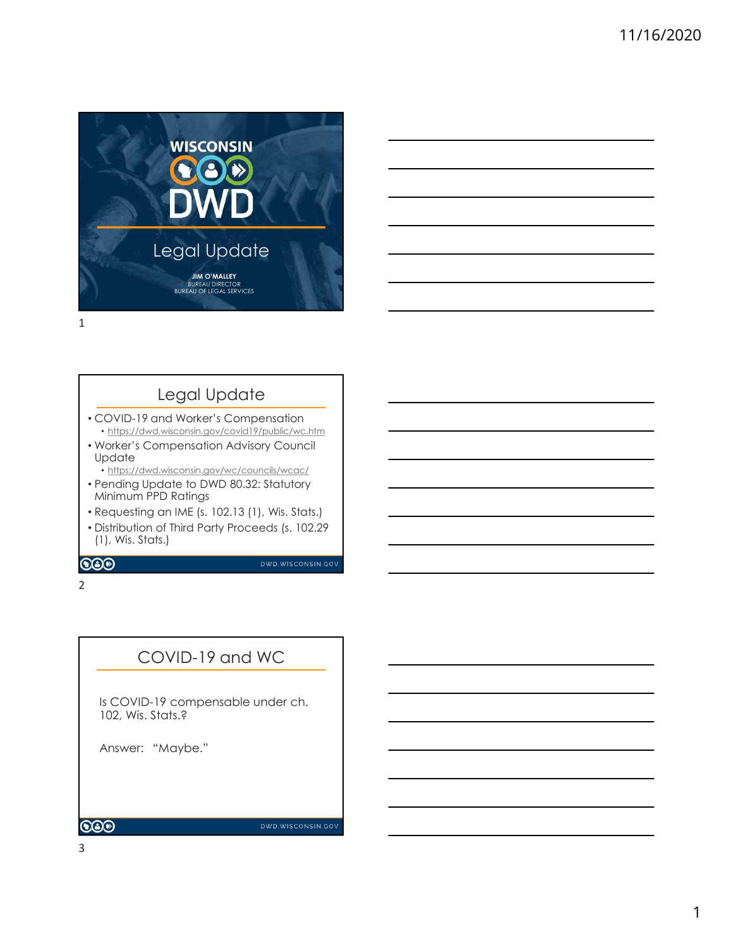

# Legal Update

- COVID-19 and Worker's Compensation • https://dwd.wisconsin.gov/covid19/public/wc.htm
- Worker's Compensation Advisory Council Update
- https://dwd.wisconsin.gov/wc/councils/wcac/
- Pending Update to DWD 80.32: Statutory Minimum PPD Ratings
- Requesting an IME (s. 102.13 (1), Wis. Stats.)
- Distribution of Third Party Proceeds (s. 102.29 (1), Wis. Stats.) May Museum and Museum Council Metalson Council May Council May Council Minimum PPD Ratings (May Museum Council Minimum PPD Ratings (Hending Update to DWD 80.32: Statutory<br>
Historical Minimum PPD Ratings (S. 102.13 (1), Wis

2 and 2 and 2 and 2 and 2 and 2 and 2 and 2 and 2 and 2 and 2 and 2 and 2 and 2 and 2 and 2 and 2 and 2 and 2

### COVID-19 and WC

Is COVID-19 compensable under ch. 102, Wis. Stats.?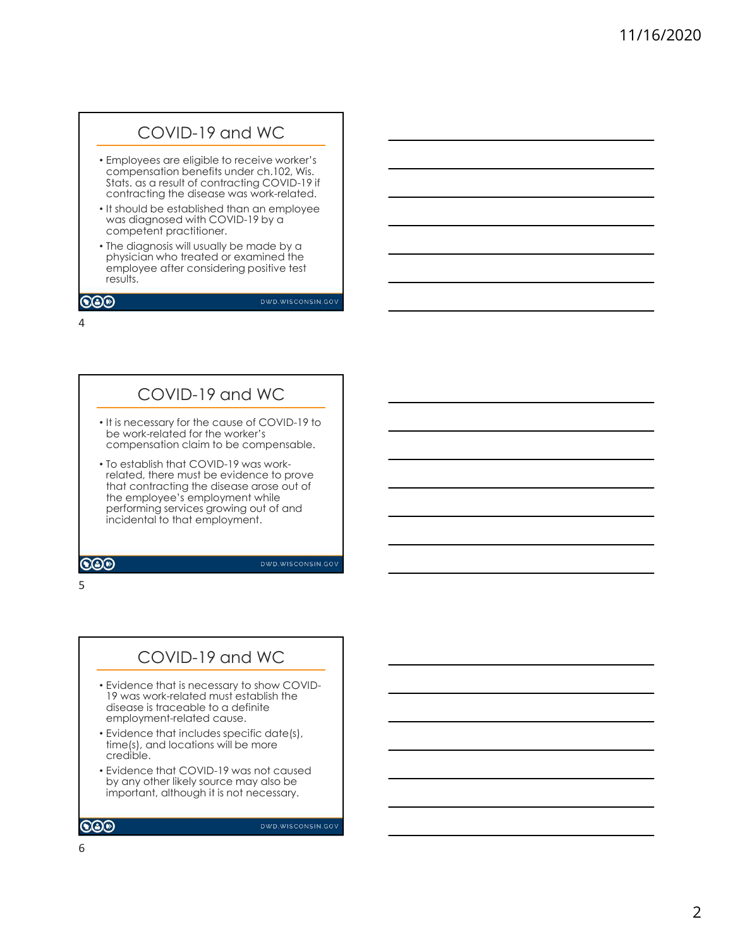### COVID-19 and WC

- Employees are eligible to receive worker's compensation benefits under ch.102, Wis. Stats. as a result of contracting COVID-19 if contracting the disease was work-related.
- It should be established than an employee was diagnosed with COVID-19 by a competent practitioner.
- The diagnosis will usually be made by a physician who treated or examined the employee after considering positive test results.

#### $\bigcircledS$

DWD.WISCONSIN.GOV

4

### COVID-19 and WC

- It is necessary for the cause of COVID-19 to be work-related for the worker's compensation claim to be compensable.
- To establish that COVID-19 was workrelated, there must be evidence to prove that contracting the disease arose out of the employee's employment while performing services growing out of and incidental to that employment.

**COO** 

**DWD.WISCONSIN.GOV** 

 $5<sub>5</sub>$ 

### COVID-19 and WC

- Evidence that is necessary to show COVID-19 was work-related must establish the disease is traceable to a definite employment-related cause.
- Evidence that includes specific date(s), time(s), and locations will be more credible.
- Evidence that COVID-19 was not caused by any other likely source may also be important, although it is not necessary.

DWD.WISCONSIN.GOV

6

 $\bigcircledS$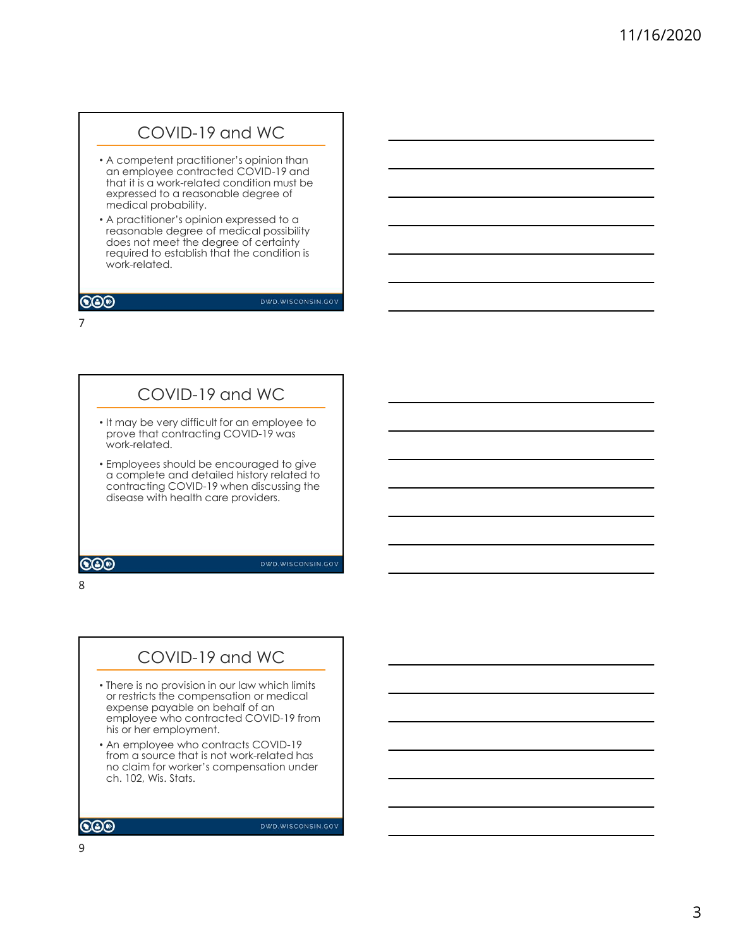### COVID-19 and WC

- A competent practitioner's opinion than an employee contracted COVID-19 and that it is a work-related condition must be expressed to a reasonable degree of medical probability.
- A practitioner's opinion expressed to a reasonable degree of medical possibility does not meet the degree of certainty required to establish that the condition is work-related.

### $\bigcircledS$

DWD.WISCONSIN.GOV

7

### COVID-19 and WC

- It may be very difficult for an employee to prove that contracting COVID-19 was work-related.
- Employees should be encouraged to give a complete and detailed history related to contracting COVID-19 when discussing the disease with health care providers.

8

### COVID-19 and WC

- There is no provision in our law which limits or restricts the compensation or medical expense payable on behalf of an employee who contracted COVID-19 from his or her employment. Employees should be encouraged to give<br>a complete and detailed history related to<br>contracting COVID-19 when discussing the<br>disease with health care providers.<br>There is no provision in our law which limits<br>or restricts the
- An employee who contracts COVID-19 from a source that is not work-related has no claim for worker's compensation under<br>ch. 102, Wis. Stats.

9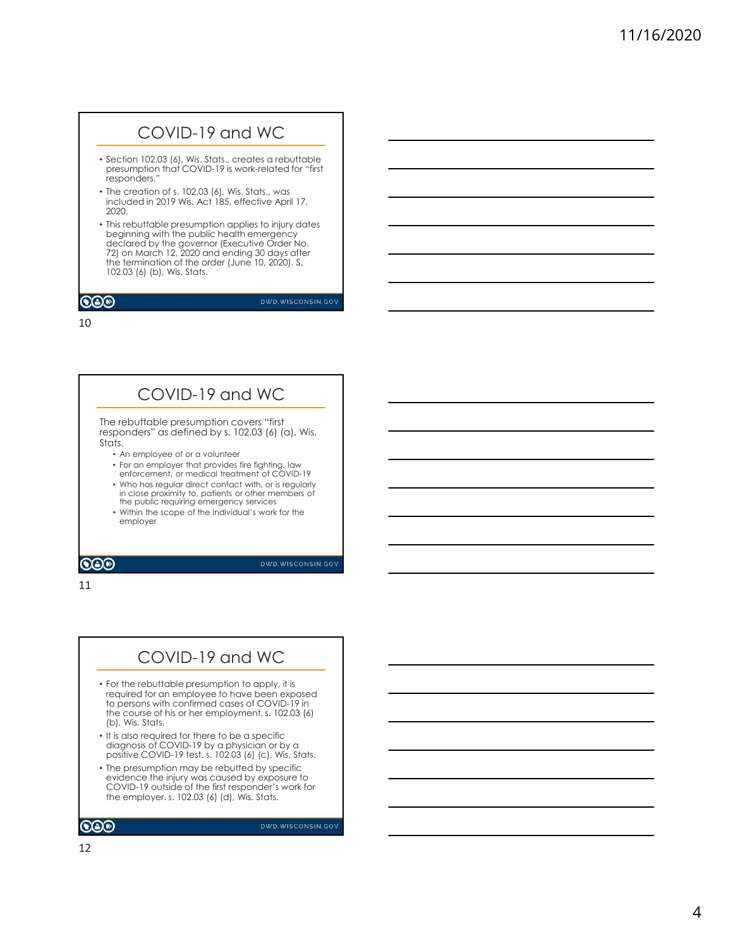### COVID-19 and WC

- Section 102.03 (6), Wis. Stats., creates a rebuttable presumption that COVID-19 is work-related for "first responders."
- The creation of s. 102.03 (6), Wis. Stats., was included in 2019 Wis. Act 185, effective April 17, 2020.
- This rebuttable presumption applies to injury dates beginning with the public health emergency declared by the governor (Executive Order No. 72) on March 12, 2020 and ending 30 days after the termination of the order (June 10, 2020). S. 102.03 (6) (b), Wis. Stats.

#### $\bigcircledS$

DWD.WISCONSIN.GOV

10

### COVID-19 and WC

The rebuttable presumption covers "first responders" as defined by s. 102.03 (6) (a), Wis. Stats.

- An employee of or a volunteer
- For an employer that provides fire fighting, law
- enforcement, or medical treatment of COVID-19
- Who has regular direct contact with, or is regularly in close proximity to, patients or other members of the public requiring emergency services
- Within the scope of the individual's work for the employer

 $\bigcircledS$ 

**DWD.WISCONSIN.GOV** 

11

### COVID-19 and WC

- For the rebuttable presumption to apply, it is required for an employee to have been exposed to persons with confirmed cases of COVID-19 in the course of his or her employment. s. 102.03 (6) (b), Wis. Stats.
- It is also required for there to be a specific diagnosis of COVID-19 by a physician or by a positive COVID-19 test. s. 102.03 (6) (c), Wis. Stats.
- The presumption may be rebutted by specific evidence the injury was caused by exposure to COVID-19 outside of the first responder's work for the employer. s. 102.03 (6) (d), Wis. Stats.

 $\bigcircledS$ 

DWD.WISCONSIN.GOV